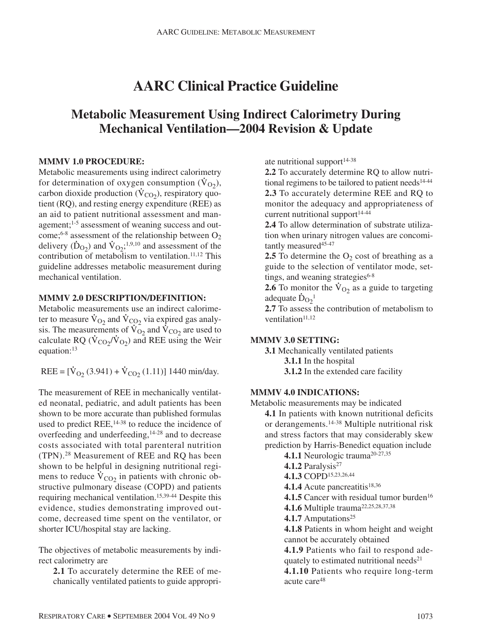# **AARC Clinical Practice Guideline**

## **Metabolic Measurement Using Indirect Calorimetry During Mechanical Ventilation—2004 Revision & Update**

#### **MMMV 1.0 PROCEDURE:**

Metabolic measurements using indirect calorimetry for determination of oxygen consumption  $(\dot{V}_{O_2})$ , carbon dioxide production ( $\dot{V}_{CO_2}$ ), respiratory quotient (RQ), and resting energy expenditure (REE) as an aid to patient nutritional assessment and management;<sup>1-5</sup> assessment of weaning success and outcome;<sup>6-8</sup> assessment of the relationship between  $O_2$ delivery  $(\dot{D}_{O_2})$  and  $\dot{V}_{O_2}$ ;<sup>1,9,10</sup> and assessment of the contribution of metabolism to ventilation.<sup>11,12</sup> This guideline addresses metabolic measurement during mechanical ventilation.

#### **MMMV 2.0 DESCRIPTION/DEFINITION:**

Metabolic measurements use an indirect calorimeter to measure  $\dot{\text{V}}_{\text{O}_2}$  and  $\dot{\text{V}}_{\text{CO}_2}$  via expired gas analysis. The measurements of  $\dot{\text{V}}_{\text{O}_2}$  and  $\dot{\text{V}}_{\text{CO}_2}$  are used to calculate RQ ( $\dot{V}_{CO_2}/\dot{V}_{O_2}$ ) and REE using the Weir equation:13

REE =  $[\dot{V}_{O_2} (3.941) + \dot{V}_{CO_2} (1.11)]$  1440 min/day.

The measurement of REE in mechanically ventilated neonatal, pediatric, and adult patients has been shown to be more accurate than published formulas used to predict  $REE$ ,  $^{14-38}$  to reduce the incidence of overfeeding and underfeeding,14-28 and to decrease costs associated with total parenteral nutrition (TPN).28 Measurement of REE and RQ has been shown to be helpful in designing nutritional regimens to reduce  $\dot{V}_{CO_2}$  in patients with chronic obstructive pulmonary disease (COPD) and patients requiring mechanical ventilation.15,39-44 Despite this evidence, studies demonstrating improved outcome, decreased time spent on the ventilator, or shorter ICU/hospital stay are lacking.

The objectives of metabolic measurements by indirect calorimetry are

**2.1** To accurately determine the REE of mechanically ventilated patients to guide appropriate nutritional support $14-38$ 

**2.2** To accurately determine RQ to allow nutritional regimens to be tailored to patient needs<sup>14-44</sup> **2.3** To accurately determine REE and RQ to monitor the adequacy and appropriateness of current nutritional support<sup>14-44</sup>

**2.4** To allow determination of substrate utilization when urinary nitrogen values are concomitantly measured<sup>45-47</sup>

**2.5** To determine the  $O_2$  cost of breathing as a guide to the selection of ventilator mode, settings, and weaning strategies<sup>6-8</sup>

**2.6** To monitor the  $\dot{V}_{O_2}$  as a guide to targeting adequate  $\dot{D}_{O_2}$ <sup>1</sup>

**2.7** To assess the contribution of metabolism to ventilation<sup>11,12</sup>

#### **MMMV 3.0 SETTING:**

**3.1** Mechanically ventilated patients **3.1.1** In the hospital

**3.1.2** In the extended care facility

#### **MMMV 4.0 INDICATIONS:**

Metabolic measurements may be indicated

**4.1** In patients with known nutritional deficits or derangements.14-38 Multiple nutritional risk and stress factors that may considerably skew prediction by Harris-Benedict equation include

4.1.1 Neurologic trauma<sup>20-27,35</sup>

- 4.1.2 Paralysis<sup>27</sup>
- **4.1.3** COPD15,23,26,44

4.1.4 Acute pancreatitis<sup>18,36</sup>

4.1.5 Cancer with residual tumor burden<sup>16</sup>

**4.1.6** Multiple trauma<sup>22,25,28,37,38</sup>

4.1.7 Amputations<sup>25</sup>

**4.1.8** Patients in whom height and weight cannot be accurately obtained

**4.1.9** Patients who fail to respond adequately to estimated nutritional needs<sup>21</sup>

**4.1.10** Patients who require long-term acute care<sup>48</sup>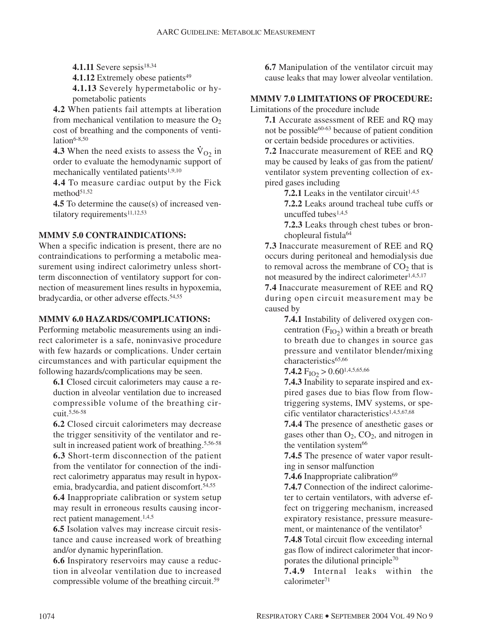**4.1.11** Severe sepsis<sup>18,34</sup>

**4.1.12** Extremely obese patients<sup>49</sup>

**4.1.13** Severely hypermetabolic or hypometabolic patients

**4.2** When patients fail attempts at liberation from mechanical ventilation to measure the  $O<sub>2</sub>$ cost of breathing and the components of ventilation $6-8,50$ 

**4.3** When the need exists to assess the  $V_{O<sub>2</sub>}$  in order to evaluate the hemodynamic support of mechanically ventilated patients<sup>1,9,10</sup>

**4.4** To measure cardiac output by the Fick method $51,52$ 

**4.5** To determine the cause(s) of increased ventilatory requirements<sup>11,12,53</sup>

#### **MMMV 5.0 CONTRAINDICATIONS:**

When a specific indication is present, there are no contraindications to performing a metabolic measurement using indirect calorimetry unless shortterm disconnection of ventilatory support for connection of measurement lines results in hypoxemia, bradycardia, or other adverse effects.54,55

#### **MMMV 6.0 HAZARDS/COMPLICATIONS:**

Performing metabolic measurements using an indirect calorimeter is a safe, noninvasive procedure with few hazards or complications. Under certain circumstances and with particular equipment the following hazards/complications may be seen.

**6.1** Closed circuit calorimeters may cause a reduction in alveolar ventilation due to increased compressible volume of the breathing circuit.5,56-58

**6.2** Closed circuit calorimeters may decrease the trigger sensitivity of the ventilator and result in increased patient work of breathing.<sup>5,56-58</sup> **6.3** Short-term disconnection of the patient from the ventilator for connection of the indirect calorimetry apparatus may result in hypoxemia, bradycardia, and patient discomfort.54,55

**6.4** Inappropriate calibration or system setup may result in erroneous results causing incorrect patient management.<sup>1,4,5</sup>

**6.5** Isolation valves may increase circuit resistance and cause increased work of breathing and/or dynamic hyperinflation.

**6.6** Inspiratory reservoirs may cause a reduction in alveolar ventilation due to increased compressible volume of the breathing circuit.59

**6.7** Manipulation of the ventilator circuit may cause leaks that may lower alveolar ventilation.

## **MMMV 7.0 LIMITATIONS OF PROCEDURE:**

Limitations of the procedure include

**7.1** Accurate assessment of REE and RQ may not be possible $60-63$  because of patient condition or certain bedside procedures or activities.

**7.2** Inaccurate measurement of REE and RQ may be caused by leaks of gas from the patient/ ventilator system preventing collection of expired gases including

**7.2.1** Leaks in the ventilator circuit<sup> $1,4,5$ </sup>

**7.2.2** Leaks around tracheal tube cuffs or uncuffed tubes1,4,5

**7.2.3** Leaks through chest tubes or bronchopleural fistula<sup>64</sup>

**7.3** Inaccurate measurement of REE and RQ occurs during peritoneal and hemodialysis due to removal across the membrane of  $CO<sub>2</sub>$  that is not measured by the indirect calorimeter1,4,5,17

**7.4** Inaccurate measurement of REE and RQ during open circuit measurement may be caused by

> **7.4.1** Instability of delivered oxygen concentration ( $F<sub>IO<sub>2</sub></sub>$ ) within a breath or breath to breath due to changes in source gas pressure and ventilator blender/mixing characteristics<sup>65,66</sup>

**7.4.2**  $F_{IO2} > 0.60^{1,4,5,65,66}$ 

**7.4.3** Inability to separate inspired and expired gases due to bias flow from flowtriggering systems, IMV systems, or specific ventilator characteristics<sup>1,4,5,67,68</sup>

**7.4.4** The presence of anesthetic gases or gases other than  $O_2$ ,  $CO_2$ , and nitrogen in the ventilation system<sup>66</sup>

**7.4.5** The presence of water vapor resulting in sensor malfunction

**7.4.6** Inappropriate calibration<sup>69</sup>

**7.4.7** Connection of the indirect calorimeter to certain ventilators, with adverse effect on triggering mechanism, increased expiratory resistance, pressure measurement, or maintenance of the ventilator<sup>5</sup>

**7.4.8** Total circuit flow exceeding internal gas flow of indirect calorimeter that incorporates the dilutional principle70

**7.4.9** Internal leaks within the calorimeter71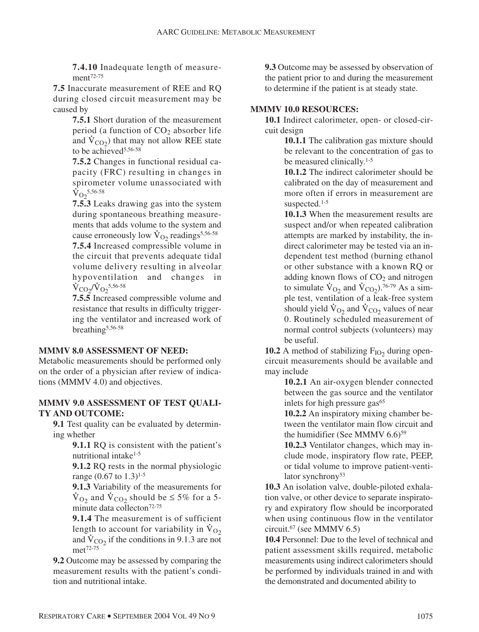**7.4.10** Inadequate length of measurement72-75

**7.5** Inaccurate measurement of REE and RQ during closed circuit measurement may be caused by

**7.5.1** Short duration of the measurement period (a function of  $CO<sub>2</sub>$  absorber life and  $\dot{V}_{CO<sub>2</sub>$ ) that may not allow REE state to be achieved<sup>5,56-58</sup>

**7.5.2** Changes in functional residual capacity (FRC) resulting in changes in spirometer volume unassociated with  $\rm \dot{V}_{O_2}$ 5,56-58

**7.5.3** Leaks drawing gas into the system during spontaneous breathing measurements that adds volume to the system and cause erroneously low  $\dot{V}_{O_2}$  readings<sup>5,56-58</sup>

**7.5.4** Increased compressible volume in the circuit that prevents adequate tidal volume delivery resulting in alveolar hypoventilation and changes in  $\dot{V}_{\rm CO_2}/\dot{V}_{\rm O_2}$ <sup>5,56-58</sup>

**7.5.5** Increased compressible volume and resistance that results in difficulty triggering the ventilator and increased work of breathing5,56-58

#### **MMMV 8.0 ASSESSMENT OF NEED:**

Metabolic measurements should be performed only on the order of a physician after review of indications (MMMV 4.0) and objectives.

#### **MMMV 9.0 ASSESSMENT OF TEST QUALI-TY AND OUTCOME:**

**9.1** Test quality can be evaluated by determining whether

**9.1.1** RQ is consistent with the patient's nutritional intake<sup>1-5</sup>

**9.1.2** RQ rests in the normal physiologic range  $(0.67 \text{ to } 1.3)^{1.5}$ 

**9.1.3** Variability of the measurements for  $\dot{V}_{\text{O}_2}$  and  $\dot{V}_{\text{CO}_2}$  should be  $\leq 5\%$  for a 5minute data collecton<sup>72-75</sup>

**9.1.4** The measurement is of sufficient length to account for variability in  $V_{O<sub>2</sub>}$ and  $\dot{V}_{CO<sub>2</sub>}$  if the conditions in 9.1.3 are not met72-75

**9.2** Outcome may be assessed by comparing the measurement results with the patient's condition and nutritional intake.

**9.3** Outcome may be assessed by observation of the patient prior to and during the measurement to determine if the patient is at steady state.

#### **MMMV 10.0 RESOURCES:**

**10.1** Indirect calorimeter, open- or closed-circuit design

> **10.1.1** The calibration gas mixture should be relevant to the concentration of gas to be measured clinically.<sup>1-5</sup>

> **10.1.2** The indirect calorimeter should be calibrated on the day of measurement and more often if errors in measurement are suspected.<sup>1-5</sup>

**10.1.3** When the measurement results are suspect and/or when repeated calibration attempts are marked by instability, the indirect calorimeter may be tested via an independent test method (burning ethanol or other substance with a known RQ or adding known flows of  $CO<sub>2</sub>$  and nitrogen to simulate  $\dot{V}_{O_2}$  and  $\dot{V}_{CO_2}$ ).<sup>76-79</sup> As a simple test, ventilation of a leak-free system should yield  $\dot{V}_{O2}$  and  $\dot{V}_{CO2}$  values of near 0. Routinely scheduled measurement of normal control subjects (volunteers) may be useful.

**10.2** A method of stabilizing  $F_{IO2}$  during opencircuit measurements should be available and may include

**10.2.1** An air-oxygen blender connected between the gas source and the ventilator inlets for high pressure gas<sup>65</sup>

**10.2.2** An inspiratory mixing chamber between the ventilator main flow circuit and the humidifier (See MMMV 6.6)59

**10.2.3** Ventilator changes, which may include mode, inspiratory flow rate, PEEP, or tidal volume to improve patient-ventilator synchrony<sup>53</sup>

**10.3** An isolation valve, double-piloted exhalation valve, or other device to separate inspiratory and expiratory flow should be incorporated when using continuous flow in the ventilator circuit.67 (see MMMV 6.5)

**10.4** Personnel: Due to the level of technical and patient assessment skills required, metabolic measurements using indirect calorimeters should be performed by individuals trained in and with the demonstrated and documented ability to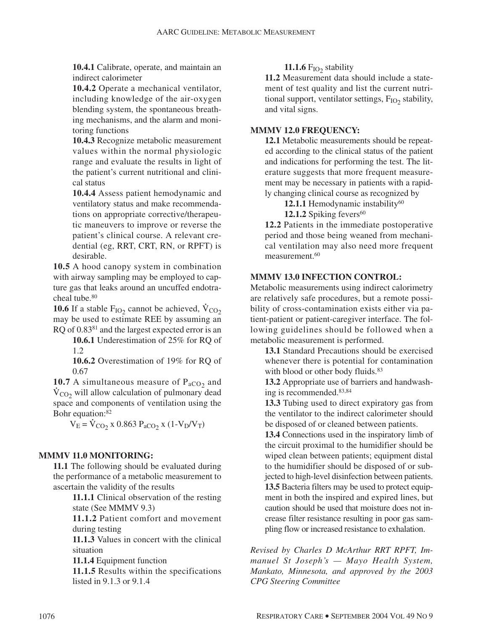**10.4.1** Calibrate, operate, and maintain an indirect calorimeter

**10.4.2** Operate a mechanical ventilator, including knowledge of the air-oxygen blending system, the spontaneous breathing mechanisms, and the alarm and monitoring functions

**10.4.3** Recognize metabolic measurement values within the normal physiologic range and evaluate the results in light of the patient's current nutritional and clinical status

**10.4.4** Assess patient hemodynamic and ventilatory status and make recommendations on appropriate corrective/therapeutic maneuvers to improve or reverse the patient's clinical course. A relevant credential (eg, RRT, CRT, RN, or RPFT) is desirable.

**10.5** A hood canopy system in combination with airway sampling may be employed to capture gas that leaks around an uncuffed endotracheal tube.<sup>80</sup>

**10.6** If a stable  $F_{IO2}$  cannot be achieved,  $V_{CO2}$ may be used to estimate REE by assuming an RQ of 0.8381 and the largest expected error is an

**10.6.1** Underestimation of 25% for RQ of 1.2

**10.6.2** Overestimation of 19% for RQ of 0.67

**10.7** A simultaneous measure of  $P_{aCO<sub>2</sub>}$  and  $\dot{V}_{CO<sub>2</sub>}$  will allow calculation of pulmonary dead space and components of ventilation using the Bohr equation:82

 $V_E = V_{CO_2}$  x 0.863 P<sub>aCO2</sub> x (1-V<sub>D</sub>/V<sub>T</sub>)

#### **MMMV 11.0 MONITORING:**

**11.1** The following should be evaluated during the performance of a metabolic measurement to ascertain the validity of the results

> **11.1.1** Clinical observation of the resting state (See MMMV 9.3)

> **11.1.2** Patient comfort and movement during testing

> **11.1.3** Values in concert with the clinical situation

**11.1.4** Equipment function

**11.1.5** Results within the specifications listed in 9.1.3 or 9.1.4

#### **11.1.6**  $F_{IO2}$  stability

**11.2** Measurement data should include a statement of test quality and list the current nutritional support, ventilator settings,  $F_{IO2}$  stability, and vital signs.

### **MMMV 12.0 FREQUENCY:**

**12.1** Metabolic measurements should be repeated according to the clinical status of the patient and indications for performing the test. The literature suggests that more frequent measurement may be necessary in patients with a rapidly changing clinical course as recognized by

12.1.1 Hemodynamic instability<sup>60</sup>

**12.1.2** Spiking fevers<sup>60</sup>

**12.2** Patients in the immediate postoperative period and those being weaned from mechanical ventilation may also need more frequent measurement.<sup>60</sup>

## **MMMV 13.0 INFECTION CONTROL:**

Metabolic measurements using indirect calorimetry are relatively safe procedures, but a remote possibility of cross-contamination exists either via patient-patient or patient-caregiver interface. The following guidelines should be followed when a metabolic measurement is performed.

**13.1** Standard Precautions should be exercised whenever there is potential for contamination with blood or other body fluids.<sup>83</sup>

**13.2** Appropriate use of barriers and handwashing is recommended.83,84

**13.3** Tubing used to direct expiratory gas from the ventilator to the indirect calorimeter should be disposed of or cleaned between patients.

**13.4** Connections used in the inspiratory limb of the circuit proximal to the humidifier should be wiped clean between patients; equipment distal to the humidifier should be disposed of or subjected to high-level disinfection between patients. **13.5** Bacteria filters may be used to protect equipment in both the inspired and expired lines, but caution should be used that moisture does not increase filter resistance resulting in poor gas sampling flow or increased resistance to exhalation.

*Revised by Charles D McArthur RRT RPFT, Immanuel St Joseph's — Mayo Health System, Mankato, Minnesota, and approved by the 2003 CPG Steering Committee*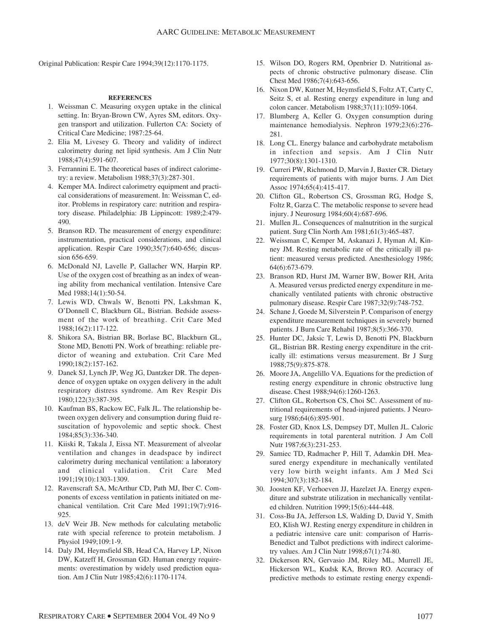Original Publication: Respir Care 1994;39(12):1170-1175.

#### **REFERENCES**

- 1. Weissman C. Measuring oxygen uptake in the clinical setting. In: Bryan-Brown CW, Ayres SM, editors. Oxygen transport and utilization. Fullerton CA: Society of Critical Care Medicine; 1987:25-64.
- 2. Elia M, Livesey G. Theory and validity of indirect calorimetry during net lipid synthesis. Am J Clin Nutr 1988;47(4):591-607.
- 3. Ferrannini E. The theoretical bases of indirect calorimetry: a review. Metabolism 1988;37(3):287-301.
- 4. Kemper MA. Indirect calorimetry equipment and practical considerations of measurement. In: Weissman C, editor. Problems in respiratory care: nutrition and respiratory disease. Philadelphia: JB Lippincott: 1989;2:479- 490.
- 5. Branson RD. The measurement of energy expenditure: instrumentation, practical considerations, and clinical application. Respir Care 1990;35(7):640-656; discussion 656-659.
- 6. McDonald NJ, Lavelle P, Gallacher WN, Harpin RP. Use of the oxygen cost of breathing as an index of weaning ability from mechanical ventilation. Intensive Care Med 1988:14(1):50-54.
- 7. Lewis WD, Chwals W, Benotti PN, Lakshman K, O'Donnell C, Blackburn GL, Bistrian. Bedside assessment of the work of breathing. Crit Care Med 1988;16(2):117-122.
- 8. Shikora SA, Bistrian BR, Borlase BC, Blackburn GL, Stone MD, Benotti PN. Work of breathing: reliable predictor of weaning and extubation. Crit Care Med 1990;18(2):157-162.
- 9. Danek SJ, Lynch JP, Weg JG, Dantzker DR. The dependence of oxygen uptake on oxygen delivery in the adult respiratory distress syndrome. Am Rev Respir Dis 1980;122(3):387-395.
- 10. Kaufman BS, Rackow EC, Falk JL. The relationship between oxygen delivery and consumption during fluid resuscitation of hypovolemic and septic shock. Chest 1984;85(3):336-340.
- 11. Kiiski R, Takala J, Eissa NT. Measurement of alveolar ventilation and changes in deadspace by indirect calorimetry during mechanical ventilation: a laboratory and clinical validation. Crit Care Med 1991;19(10):1303-1309.
- 12. Ravenscraft SA, McArthur CD, Path MJ, Iber C. Components of excess ventilation in patients initiated on mechanical ventilation. Crit Care Med 1991;19(7):916- 925.
- 13. deV Weir JB. New methods for calculating metabolic rate with special reference to protein metabolism. J Physiol 1949;109:1-9.
- 14. Daly JM, Heymsfield SB, Head CA, Harvey LP, Nixon DW, Katzeff H, Grossman GD. Human energy requirements: overestimation by widely used prediction equation. Am J Clin Nutr 1985;42(6):1170-1174.
- 15. Wilson DO, Rogers RM, Openbrier D. Nutritional aspects of chronic obstructive pulmonary disease. Clin Chest Med 1986;7(4):643-656.
- 16. Nixon DW, Kutner M, Heymsfield S, Foltz AT, Carty C, Seitz S, et al. Resting energy expenditure in lung and colon cancer. Metabolism 1988;37(11):1059-1064.
- 17. Blumberg A, Keller G. Oxygen consumption during maintenance hemodialysis. Nephron 1979;23(6):276- 281.
- 18. Long CL. Energy balance and carbohydrate metabolism in infection and sepsis. Am J Clin Nutr 1977;30(8):1301-1310.
- 19. Curreri PW, Richmond D, Marvin J, Baxter CR. Dietary requirements of patients with major burns. J Am Diet Assoc 1974;65(4):415-417.
- 20. Clifton GL, Robertson CS, Grossman RG, Hodge S, Foltz R, Garza C. The metabolic response to severe head injury. J Neurosurg 1984;60(4):687-696.
- 21. Mullen JL. Consequences of malnutrition in the surgical patient. Surg Clin North Am 1981;61(3):465-487.
- 22. Weissman C, Kemper M, Askanazi J, Hyman AI, Kinney JM. Resting metabolic rate of the critically ill patient: measured versus predicted. Anesthesiology 1986; 64(6):673-679.
- 23. Branson RD, Hurst JM, Warner BW, Bower RH, Arita A. Measured versus predicted energy expenditure in mechanically ventilated patients with chronic obstructive pulmonary disease. Respir Care 1987;32(9):748-752.
- 24. Schane J, Goede M, Silverstein P. Comparison of energy expenditure measurement techniques in severely burned patients. J Burn Care Rehabil 1987;8(5):366-370.
- 25. Hunter DC, Jaksic T, Lewis D, Benotti PN, Blackburn GL, Bistrian BR. Resting energy expenditure in the critically ill: estimations versus measurement. Br J Surg 1988;75(9):875-878.
- 26. Moore JA, Angelillo VA. Equations for the prediction of resting energy expenditure in chronic obstructive lung disease. Chest 1988;94(6):1260-1263.
- 27. Clifton GL, Robertson CS, Choi SC. Assessment of nutritional requirements of head-injured patients. J Neurosurg 1986;64(6):895-901.
- 28. Foster GD, Knox LS, Dempsey DT, Mullen JL. Caloric requirements in total parenteral nutrition. J Am Coll Nutr 1987;6(3):231-253.
- 29. Samiec TD, Radmacher P, Hill T, Adamkin DH. Measured energy expenditure in mechanically ventilated very low birth weight infants. Am J Med Sci 1994;307(3):182-184.
- 30. Joosten KF, Verhoeven JJ, Hazelzet JA. Energy expenditure and substrate utilization in mechanically ventilated children. Nutrition 1999;15(6):444-448.
- 31. Coss-Bu JA, Jefferson LS, Walding D, David Y, Smith EO, Klish WJ. Resting energy expenditure in children in a pediatric intensive care unit: comparison of Harris-Benedict and Talbot predictions with indirect calorimetry values. Am J Clin Nutr 1998;67(1):74-80.
- 32. Dickerson RN, Gervasio JM, Riley ML, Murrell JE, Hickerson WL, Kudsk KA, Brown RO. Accuracy of predictive methods to estimate resting energy expendi-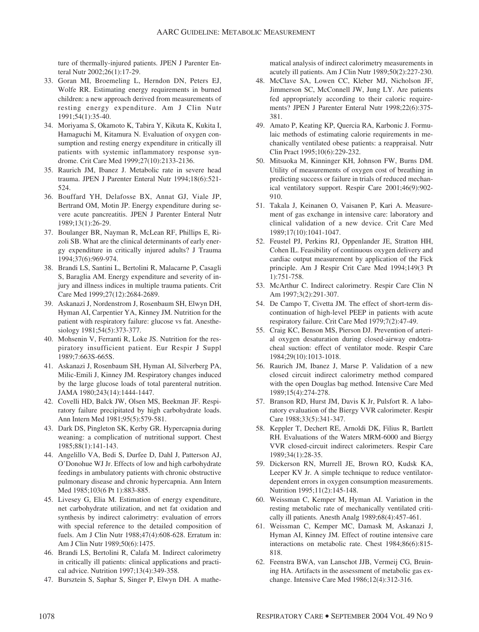ture of thermally-injured patients. JPEN J Parenter Enteral Nutr 2002;26(1):17-29.

- 33. Goran MI, Broemeling L, Herndon DN, Peters EJ, Wolfe RR. Estimating energy requirements in burned children: a new approach derived from measurements of resting energy expenditure. Am J Clin Nutr 1991;54(1):35-40.
- 34. Moriyama S, Okamoto K, Tabira Y, Kikuta K, Kukita I, Hamaguchi M, Kitamura N. Evaluation of oxygen consumption and resting energy expenditure in critically ill patients with systemic inflammatory response syndrome. Crit Care Med 1999;27(10):2133-2136.
- 35. Raurich JM, Ibanez J. Metabolic rate in severe head trauma. JPEN J Parenter Enteral Nutr 1994;18(6):521- 524.
- 36. Bouffard YH, Delafosse BX, Annat GJ, Viale JP, Bertrand OM, Motin JP. Energy expenditure during severe acute pancreatitis. JPEN J Parenter Enteral Nutr 1989;13(1):26-29.
- 37. Boulanger BR, Nayman R, McLean RF, Phillips E, Rizoli SB. What are the clinical determinants of early energy expenditure in critically injured adults? J Trauma 1994;37(6):969-974.
- 38. Brandi LS, Santini L, Bertolini R, Malacarne P, Casagli S, Baraglia AM. Energy expenditure and severity of injury and illness indices in multiple trauma patients. Crit Care Med 1999;27(12):2684-2689.
- 39. Askanazi J, Nordenstrom J, Rosenbaum SH, Elwyn DH, Hyman AI, Carpentier YA, Kinney JM. Nutrition for the patient with respiratory failure: glucose vs fat. Anesthesiology 1981;54(5):373-377.
- 40. Mohsenin V, Ferranti R, Loke JS. Nutrition for the respiratory insufficient patient. Eur Respir J Suppl 1989;7:663S-665S.
- 41. Askanazi J, Rosenbaum SH, Hyman AI, Silverberg PA, Milic-Emili J, Kinney JM. Respiratory changes induced by the large glucose loads of total parenteral nutrition. JAMA 1980;243(14):1444-1447.
- 42. Covelli HD, Balck JW, Olsen MS, Beekman JF. Respiratory failure precipitated by high carbohydrate loads. Ann Intern Med 1981;95(5):579-581.
- 43. Dark DS, Pingleton SK, Kerby GR. Hypercapnia during weaning: a complication of nutritional support. Chest 1985;88(1):141-143.
- 44. Angelillo VA, Bedi S, Durfee D, Dahl J, Patterson AJ, O'Donohue WJ Jr. Effects of low and high carbohydrate feedings in ambulatory patients with chronic obstructive pulmonary disease and chronic hypercapnia. Ann Intern Med 1985;103(6 Pt 1):883-885.
- 45. Livesey G, Elia M. Estimation of energy expenditure, net carbohydrate utilization, and net fat oxidation and synthesis by indirect calorimetry: evaluation of errors with special reference to the detailed composition of fuels. Am J Clin Nutr 1988;47(4):608-628. Erratum in: Am J Clin Nutr 1989;50(6):1475.
- 46. Brandi LS, Bertolini R, Calafa M. Indirect calorimetry in critically ill patients: clinical applications and practical advice. Nutrition 1997;13(4):349-358.
- 47. Bursztein S, Saphar S, Singer P, Elwyn DH. A mathe-

matical analysis of indirect calorimetry measurements in acutely ill patients. Am J Clin Nutr 1989;50(2):227-230.

- 48. McClave SA, Lowen CC, Kleber MJ, Nicholson JF, Jimmerson SC, McConnell JW, Jung LY. Are patients fed appropriately according to their caloric requirements? JPEN J Parenter Enteral Nutr 1998;22(6):375- 381.
- 49. Amato P, Keating KP, Quercia RA, Karbonic J. Formulaic methods of estimating calorie requirements in mechanically ventilated obese patients: a reappraisal. Nutr Clin Pract 1995;10(6):229-232.
- 50. Mitsuoka M, Kinninger KH, Johnson FW, Burns DM. Utility of measurements of oxygen cost of breathing in predicting success or failure in trials of reduced mechanical ventilatory support. Respir Care 2001;46(9):902- 910.
- 51. Takala J, Keinanen O, Vaisanen P, Kari A. Measurement of gas exchange in intensive care: laboratory and clinical validation of a new device. Crit Care Med 1989;17(10):1041-1047.
- 52. Feustel PJ, Perkins RJ, Oppenlander JE, Stratton HH, Cohen IL. Feasibility of continuous oxygen delivery and cardiac output measurement by application of the Fick principle. Am J Respir Crit Care Med 1994;149(3 Pt 1):751-758.
- 53. McArthur C. Indirect calorimetry. Respir Care Clin N Am 1997;3(2):291-307.
- 54. De Campo T, Civetta JM. The effect of short-term discontinuation of high-level PEEP in patients with acute respiratory failure. Crit Care Med 1979;7(2):47-49.
- 55. Craig KC, Benson MS, Pierson DJ. Prevention of arterial oxygen desaturation during closed-airway endotracheal suction: effect of ventilator mode. Respir Care 1984;29(10):1013-1018.
- 56. Raurich JM, Ibanez J, Marse P. Validation of a new closed circuit indirect calorimetry method compared with the open Douglas bag method. Intensive Care Med 1989;15(4):274-278.
- 57. Branson RD, Hurst JM, Davis K Jr, Pulsfort R. A laboratory evaluation of the Biergy VVR calorimeter. Respir Care 1988;33(5):341-347.
- 58. Keppler T, Dechert RE, Arnoldi DK, Filius R, Bartlett RH. Evaluations of the Waters MRM-6000 and Biergy VVR closed-circuit indirect calorimeters. Respir Care 1989;34(1):28-35.
- 59. Dickerson RN, Murrell JE, Brown RO, Kudsk KA, Leeper KV Jr. A simple technique to reduce ventilatordependent errors in oxygen consumption measurements. Nutrition 1995;11(2):145-148.
- 60. Weissman C, Kemper M, Hyman AI. Variation in the resting metabolic rate of mechanically ventilated critically ill patients. Anesth Analg 1989;68(4):457-461.
- 61. Weissman C, Kemper MC, Damask M, Askanazi J, Hyman AI, Kinney JM. Effect of routine intensive care interactions on metabolic rate. Chest 1984;86(6):815- 818.
- 62. Feenstra BWA, van Lanschot JJB, Vermeij CG, Bruining HA. Artifacts in the assessment of metabolic gas exchange. Intensive Care Med 1986;12(4):312-316.